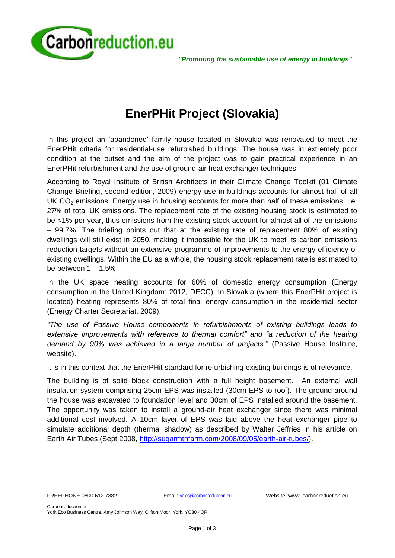

*"Promoting the sustainable use of energy in buildings"*

# **EnerPHit Project (Slovakia)**

In this project an 'abandoned' family house located in Slovakia was renovated to meet the EnerPHit criteria for residential-use refurbished buildings. The house was in extremely poor condition at the outset and the aim of the project was to gain practical experience in an EnerPHit refurbishment and the use of ground-air heat exchanger techniques.

According to Royal Institute of British Architects in their Climate Change Toolkit (01 Climate Change Briefing, second edition, 2009) energy use in buildings accounts for almost half of all UK  $CO<sub>2</sub>$  emissions. Energy use in housing accounts for more than half of these emissions, i.e. 27% of total UK emissions. The replacement rate of the existing housing stock is estimated to be <1% per year, thus emissions from the existing stock account for almost all of the emissions – 99.7%. The briefing points out that at the existing rate of replacement 80% of existing dwellings will still exist in 2050, making it impossible for the UK to meet its carbon emissions reduction targets without an extensive programme of improvements to the energy efficiency of existing dwellings. Within the EU as a whole, the housing stock replacement rate is estimated to be between  $1 - 1.5%$ 

In the UK space heating accounts for 60% of domestic energy consumption (Energy consumption in the United Kingdom: 2012, DECC). In Slovakia (where this EnerPHit project is located) heating represents 80% of total final energy consumption in the residential sector (Energy Charter Secretariat, 2009).

*"The use of Passive House components in refurbishments of existing buildings leads to extensive improvements with reference to thermal comfort" and "a reduction of the heating demand by 90% was achieved in a large number of projects."* (Passive House Institute, website).

It is in this context that the EnerPHit standard for refurbishing existing buildings is of relevance.

The building is of solid block construction with a full height basement. An external wall insulation system comprising 25cm EPS was installed (30cm EPS to roof). The ground around the house was excavated to foundation level and 30cm of EPS installed around the basement. The opportunity was taken to install a ground-air heat exchanger since there was minimal additional cost involved. A 10cm layer of EPS was laid above the heat exchanger pipe to simulate additional depth (thermal shadow) as described by Walter Jeffries in his article on Earth Air Tubes (Sept 2008, [http://sugarmtnfarm.com/2008/09/05/earth-air-tubes/\)](http://sugarmtnfarm.com/2008/09/05/earth-air-tubes/).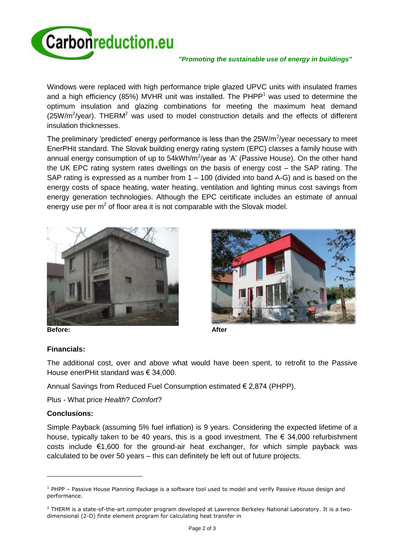

#### *"Promoting the sustainable use of energy in buildings"*

Windows were replaced with high performance triple glazed UPVC units with insulated frames and a high efficiency (85%) MVHR unit was installed. The  $PHPP<sup>1</sup>$  was used to determine the optimum insulation and glazing combinations for meeting the maximum heat demand (25W/m<sup>2</sup>/year). THERM<sup>2</sup> was used to model construction details and the effects of different insulation thicknesses.

The preliminary 'predicted' energy performance is less than the  $25W/m^2$ /year necessary to meet EnerPHit standard. The Slovak building energy rating system (EPC) classes a family house with annual energy consumption of up to 54kWh/m<sup>2</sup>/year as 'A' (Passive House). On the other hand the UK EPC rating system rates dwellings on the basis of energy cost – the SAP rating. The SAP rating is expressed as a number from 1 – 100 (divided into band A-G) and is based on the energy costs of space heating, water heating, ventilation and lighting minus cost savings from energy generation technologies. Although the EPC certificate includes an estimate of annual energy use per m<sup>2</sup> of floor area it is not comparable with the Slovak model.





## **Financials:**

The additional cost, over and above what would have been spent, to retrofit to the Passive House enerPHit standard was € 34,000.

Annual Savings from Reduced Fuel Consumption estimated € 2,874 (PHPP).

Plus - What price *Health*? *Comfort*?

## **Conclusions:**

l

Simple Payback (assuming 5% fuel inflation) is 9 years. Considering the expected lifetime of a house, typically taken to be 40 years, this is a good investment. The  $\epsilon$  34,000 refurbishment costs include  $€1,600$  for the ground-air heat exchanger, for which simple payback was calculated to be over 50 years – this can definitely be left out of future projects.

 $1$  PHPP – Passive House Planning Package is a software tool used to model and verify Passive House design and performance.

 $2$  THERM is a state-of-the-art computer program developed at Lawrence Berkeley National Laboratory. It is a twodimensional (2-D) finite element program for calculating heat transfer in